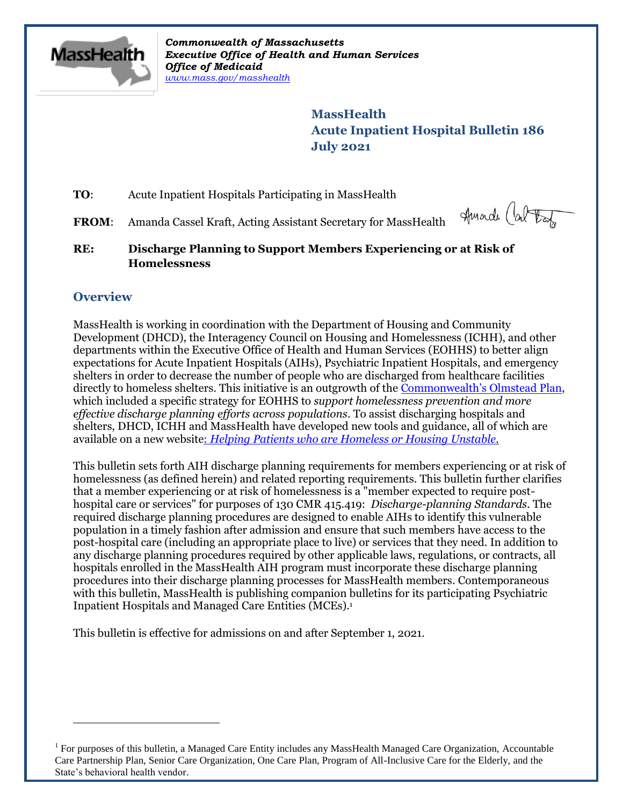

*Commonwealth of Massachusetts Executive Office of Health and Human Services Office of Medicaid [www.mass.gov/masshealth](http://www.mass.gov/masshealth)*

> **MassHealth Acute Inpatient Hospital Bulletin 186 July 2021**

**TO:** Acute Inpatient Hospitals Participating in MassHealth

FROM: Amanda Cassel Kraft, Acting Assistant Secretary for MassHealth

Hurade (about

**RE: Discharge Planning to Support Members Experiencing or at Risk of Homelessness**

# **Overview**

 $\overline{a}$ 

MassHealth is working in coordination with the Department of Housing and Community Development (DHCD), the Interagency Council on Housing and Homelessness (ICHH), and other departments within the Executive Office of Health and Human Services (EOHHS) to better align expectations for Acute Inpatient Hospitals (AIHs), Psychiatric Inpatient Hospitals, and emergency shelters in order to decrease the number of people who are discharged from healthcare facilities directly to homeless shelters. This initiative is an outgrowth of the [Commonwealth's Olmstead Plan](https://www.mass.gov/orgs/commonwealth-of-massachusetts-olmstead-plan-and-update), which included a specific strategy for EOHHS to *support homelessness prevention and more effective discharge planning efforts across populations*. To assist discharging hospitals and shelters, DHCD, ICHH and MassHealth have developed new tools and guidance, all of which are available on a new website: *[Helping Patients who are Homeless or Housing Unstable.](https://www.mass.gov/info-details/helping-patients-who-are-homeless-or-housing-unstable)*

This bulletin sets forth AIH discharge planning requirements for members experiencing or at risk of homelessness (as defined herein) and related reporting requirements. This bulletin further clarifies that a member experiencing or at risk of homelessness is a "member expected to require posthospital care or services" for purposes of 130 CMR 415.419: *Discharge-planning Standards*. The required discharge planning procedures are designed to enable AIHs to identify this vulnerable population in a timely fashion after admission and ensure that such members have access to the post-hospital care (including an appropriate place to live) or services that they need. In addition to any discharge planning procedures required by other applicable laws, regulations, or contracts, all hospitals enrolled in the MassHealth AIH program must incorporate these discharge planning procedures into their discharge planning processes for MassHealth members. Contemporaneous with this bulletin, MassHealth is publishing companion bulletins for its participating Psychiatric Inpatient Hospitals and Managed Care Entities (MCEs). 1

This bulletin is effective for admissions on and after September 1, 2021.

<sup>1</sup> For purposes of this bulletin, a Managed Care Entity includes any MassHealth Managed Care Organization, Accountable Care Partnership Plan, Senior Care Organization, One Care Plan, Program of All-Inclusive Care for the Elderly, and the State's behavioral health vendor.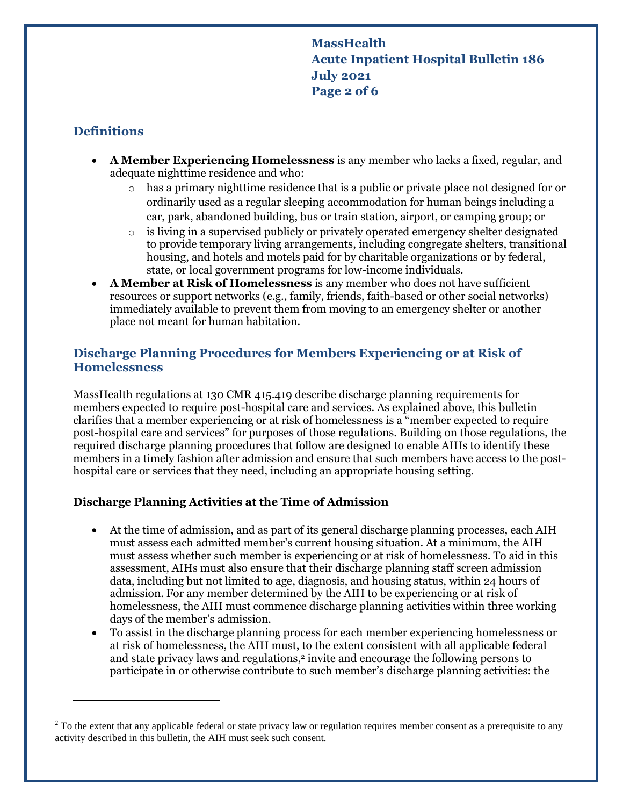**MassHealth Acute Inpatient Hospital Bulletin 186 July 2021 Page 2 of 6**

# **Definitions**

 $\overline{a}$ 

- **A Member Experiencing Homelessness** is any member who lacks a fixed, regular, and adequate nighttime residence and who:
	- o has a primary nighttime residence that is a public or private place not designed for or ordinarily used as a regular sleeping accommodation for human beings including a car, park, abandoned building, bus or train station, airport, or camping group; or
	- o is living in a supervised publicly or privately operated emergency shelter designated to provide temporary living arrangements, including congregate shelters, transitional housing, and hotels and motels paid for by charitable organizations or by federal, state, or local government programs for low-income individuals.
- **A Member at Risk of Homelessness** is any member who does not have sufficient resources or support networks (e.g., family, friends, faith-based or other social networks) immediately available to prevent them from moving to an emergency shelter or another place not meant for human habitation.

# **Discharge Planning Procedures for Members Experiencing or at Risk of Homelessness**

MassHealth regulations at 130 CMR 415.419 describe discharge planning requirements for members expected to require post-hospital care and services. As explained above, this bulletin clarifies that a member experiencing or at risk of homelessness is a "member expected to require post-hospital care and services" for purposes of those regulations. Building on those regulations, the required discharge planning procedures that follow are designed to enable AIHs to identify these members in a timely fashion after admission and ensure that such members have access to the posthospital care or services that they need, including an appropriate housing setting.

## **Discharge Planning Activities at the Time of Admission**

- At the time of admission, and as part of its general discharge planning processes, each AIH must assess each admitted member's current housing situation. At a minimum, the AIH must assess whether such member is experiencing or at risk of homelessness. To aid in this assessment, AIHs must also ensure that their discharge planning staff screen admission data, including but not limited to age, diagnosis, and housing status, within 24 hours of admission. For any member determined by the AIH to be experiencing or at risk of homelessness, the AIH must commence discharge planning activities within three working days of the member's admission.
- To assist in the discharge planning process for each member experiencing homelessness or at risk of homelessness, the AIH must, to the extent consistent with all applicable federal and state privacy laws and regulations,<sup>2</sup> invite and encourage the following persons to participate in or otherwise contribute to such member's discharge planning activities: the

<sup>&</sup>lt;sup>2</sup> To the extent that any applicable federal or state privacy law or regulation requires member consent as a prerequisite to any activity described in this bulletin, the AIH must seek such consent.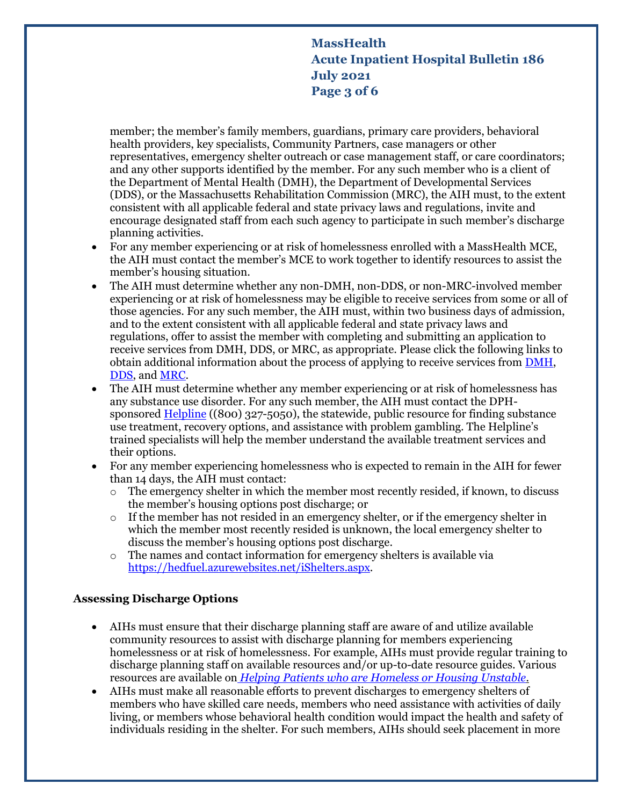# **MassHealth Acute Inpatient Hospital Bulletin 186 July 2021 Page 3 of 6**

member; the member's family members, guardians, primary care providers, behavioral health providers, key specialists, Community Partners, case managers or other representatives, emergency shelter outreach or case management staff, or care coordinators; and any other supports identified by the member. For any such member who is a client of the Department of Mental Health (DMH), the Department of Developmental Services (DDS), or the Massachusetts Rehabilitation Commission (MRC), the AIH must, to the extent consistent with all applicable federal and state privacy laws and regulations, invite and encourage designated staff from each such agency to participate in such member's discharge planning activities.

- For any member experiencing or at risk of homelessness enrolled with a MassHealth MCE, the AIH must contact the member's MCE to work together to identify resources to assist the member's housing situation.
- The AIH must determine whether any non-DMH, non-DDS, or non-MRC-involved member experiencing or at risk of homelessness may be eligible to receive services from some or all of those agencies. For any such member, the AIH must, within two business days of admission, and to the extent consistent with all applicable federal and state privacy laws and regulations, offer to assist the member with completing and submitting an application to receive services from DMH, DDS, or MRC, as appropriate. Please click the following links to obtain additional information about the process of applying to receive services from [DMH,](https://www.mass.gov/info-details/applications-for-dmh-services#:~:text=Contact%20Info%20-%20Where%20to%20Submit%20Your%20DMH,%20%20NEA.serviceauthapplications@mass.gov%20%201%20more%20rows) [DDS,](https://ddsmass.github.io/eligibility-guide/) and [MRC.](https://www.mass.gov/mrc-community-based-services)
- The AIH must determine whether any member experiencing or at risk of homelessness has any substance use disorder. For any such member, the AIH must contact the DPH-sponsored [Helpline](https://helplinema.org/) ((800) 327-5050), the statewide, public resource for finding substance use treatment, recovery options, and assistance with problem gambling. The Helpline's trained specialists will help the member understand the available treatment services and their options.
- For any member experiencing homelessness who is expected to remain in the AIH for fewer than 14 days, the AIH must contact:
	- $\circ$  The emergency shelter in which the member most recently resided, if known, to discuss the member's housing options post discharge; or
	- $\circ$  If the member has not resided in an emergency shelter, or if the emergency shelter in which the member most recently resided is unknown, the local emergency shelter to discuss the member's housing options post discharge.
	- o The names and contact information for emergency shelters is available via [https://hedfuel.azurewebsites.net/iShelters.aspx.](https://hedfuel.azurewebsites.net/iShelters.aspx)

## **Assessing Discharge Options**

- AIHs must ensure that their discharge planning staff are aware of and utilize available community resources to assist with discharge planning for members experiencing homelessness or at risk of homelessness. For example, AIHs must provide regular training to discharge planning staff on available resources and/or up-to-date resource guides. Various resources are available on *[Helping Patients who are Homeless or Housing Unstable.](https://www.mass.gov/info-details/helping-patients-who-are-homeless-or-housing-unstable)*
- AIHs must make all reasonable efforts to prevent discharges to emergency shelters of members who have skilled care needs, members who need assistance with activities of daily living, or members whose behavioral health condition would impact the health and safety of individuals residing in the shelter. For such members, AIHs should seek placement in more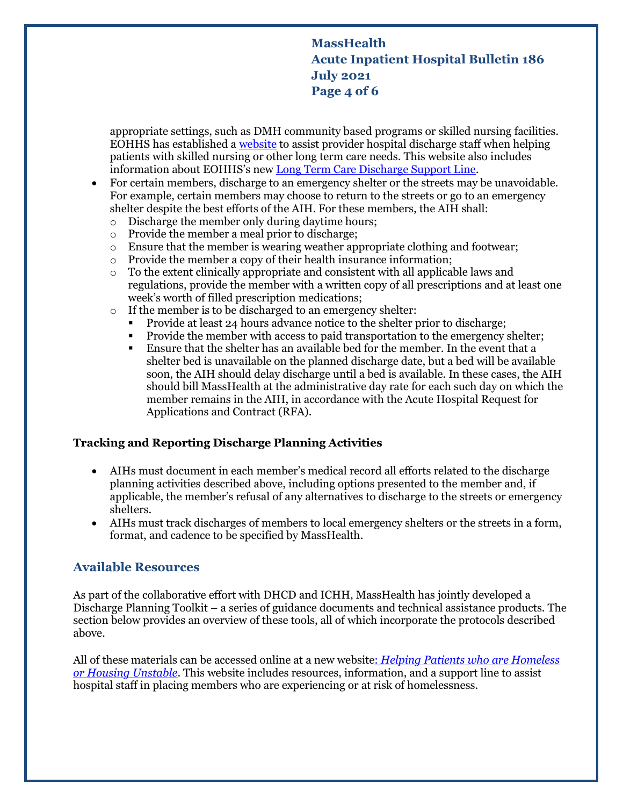# **MassHealth Acute Inpatient Hospital Bulletin 186 July 2021 Page 4 of 6**

appropriate settings, such as DMH community based programs or skilled nursing facilities. EOHHS has established a [website](https://www.mass.gov/info-details/helping-patients-with-skilled-nursing-or-other-long-term-care-needs) to assist provider hospital discharge staff when helping patients with skilled nursing or other long term care needs. This website also includes information about EOHHS's new [Long Term Care Discharge Support Line.](https://www.mass.gov/info-details/helping-patients-with-skilled-nursing-or-other-long-term-care-needs#eohhs-long-term-care-discharge-support-line-)

- For certain members, discharge to an emergency shelter or the streets may be unavoidable. For example, certain members may choose to return to the streets or go to an emergency shelter despite the best efforts of the AIH. For these members, the AIH shall:
	- o Discharge the member only during daytime hours;
	- o Provide the member a meal prior to discharge;
	- o Ensure that the member is wearing weather appropriate clothing and footwear;
	- o Provide the member a copy of their health insurance information;
	- $\circ$  To the extent clinically appropriate and consistent with all applicable laws and regulations, provide the member with a written copy of all prescriptions and at least one week's worth of filled prescription medications;
	- o If the member is to be discharged to an emergency shelter:
		- Provide at least 24 hours advance notice to the shelter prior to discharge;
		- Provide the member with access to paid transportation to the emergency shelter;
		- Ensure that the shelter has an available bed for the member. In the event that a shelter bed is unavailable on the planned discharge date, but a bed will be available soon, the AIH should delay discharge until a bed is available. In these cases, the AIH should bill MassHealth at the administrative day rate for each such day on which the member remains in the AIH, in accordance with the Acute Hospital Request for Applications and Contract (RFA).

### **Tracking and Reporting Discharge Planning Activities**

- AIHs must document in each member's medical record all efforts related to the discharge planning activities described above, including options presented to the member and, if applicable, the member's refusal of any alternatives to discharge to the streets or emergency shelters.
- AIHs must track discharges of members to local emergency shelters or the streets in a form, format, and cadence to be specified by MassHealth.

## **Available Resources**

As part of the collaborative effort with DHCD and ICHH, MassHealth has jointly developed a Discharge Planning Toolkit – a series of guidance documents and technical assistance products. The section below provides an overview of these tools, all of which incorporate the protocols described above.

All of these materials can be accessed online at a new website: *[Helping Patients who are Homeless](https://www.mass.gov/info-details/helping-patients-who-are-homeless-or-housing-unstable)  [or Housing Unstable](https://www.mass.gov/info-details/helping-patients-who-are-homeless-or-housing-unstable)*. This website includes resources, information, and a support line to assist hospital staff in placing members who are experiencing or at risk of homelessness.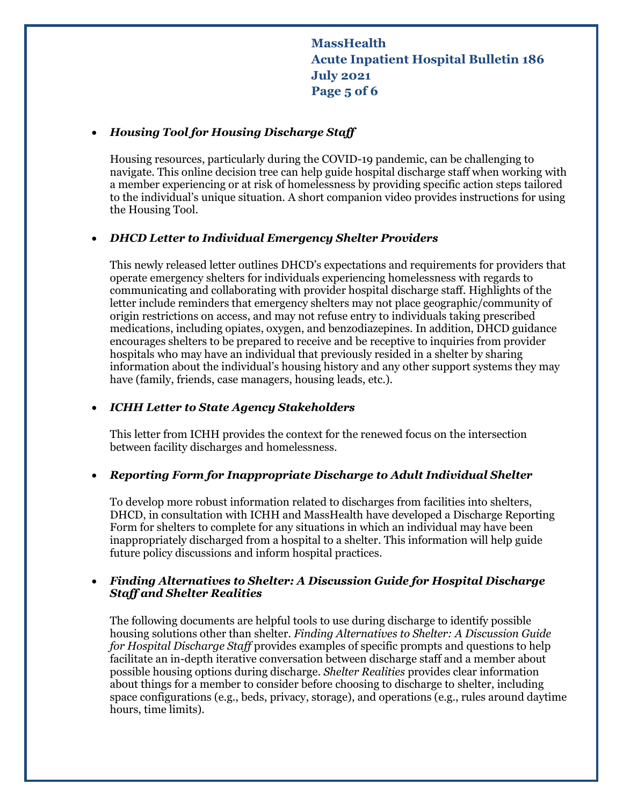**MassHealth Acute Inpatient Hospital Bulletin 186 July 2021 Page 5 of 6**

#### *Housing Tool for Housing Discharge Staff*

Housing resources, particularly during the COVID-19 pandemic, can be challenging to navigate. This online decision tree can help guide hospital discharge staff when working with a member experiencing or at risk of homelessness by providing specific action steps tailored to the individual's unique situation. A short companion video provides instructions for using the Housing Tool.

#### *DHCD Letter to Individual Emergency Shelter Providers*

This newly released letter outlines DHCD's expectations and requirements for providers that operate emergency shelters for individuals experiencing homelessness with regards to communicating and collaborating with provider hospital discharge staff. Highlights of the letter include reminders that emergency shelters may not place geographic/community of origin restrictions on access, and may not refuse entry to individuals taking prescribed medications, including opiates, oxygen, and benzodiazepines. In addition, DHCD guidance encourages shelters to be prepared to receive and be receptive to inquiries from provider hospitals who may have an individual that previously resided in a shelter by sharing information about the individual's housing history and any other support systems they may have (family, friends, case managers, housing leads, etc.).

#### *ICHH Letter to State Agency Stakeholders*

This letter from ICHH provides the context for the renewed focus on the intersection between facility discharges and homelessness.

#### *Reporting Form for Inappropriate Discharge to Adult Individual Shelter*

To develop more robust information related to discharges from facilities into shelters, DHCD, in consultation with ICHH and MassHealth have developed a Discharge Reporting Form for shelters to complete for any situations in which an individual may have been inappropriately discharged from a hospital to a shelter. This information will help guide future policy discussions and inform hospital practices.

### *Finding Alternatives to Shelter: A Discussion Guide for Hospital Discharge Staff and Shelter Realities*

The following documents are helpful tools to use during discharge to identify possible housing solutions other than shelter. *Finding Alternatives to Shelter: A Discussion Guide for Hospital Discharge Staff* provides examples of specific prompts and questions to help facilitate an in-depth iterative conversation between discharge staff and a member about possible housing options during discharge. *Shelter Realities* provides clear information about things for a member to consider before choosing to discharge to shelter, including space configurations (e.g., beds, privacy, storage), and operations (e.g., rules around daytime hours, time limits).